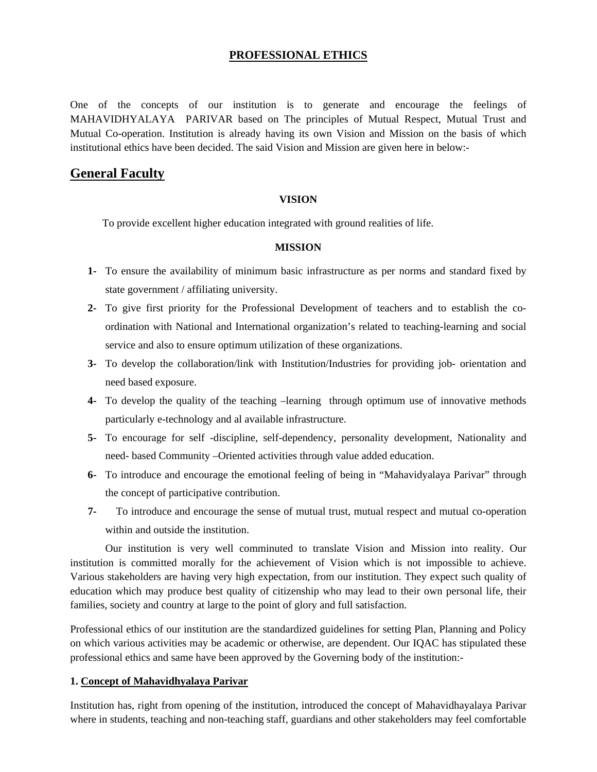# **PROFESSIONAL ETHICS**

One of the concepts of our institution is to generate and encourage the feelings of MAHAVIDHYALAYA PARIVAR based on The principles of Mutual Respect, Mutual Trust and Mutual Co-operation. Institution is already having its own Vision and Mission on the basis of which institutional ethics have been decided. The said Vision and Mission are given here in below:-

# **General Faculty**

## **VISION**

To provide excellent higher education integrated with ground realities of life.

#### **MISSION**

- **1-** To ensure the availability of minimum basic infrastructure as per norms and standard fixed by state government / affiliating university.
- **2-** To give first priority for the Professional Development of teachers and to establish the coordination with National and International organization's related to teaching-learning and social service and also to ensure optimum utilization of these organizations.
- **3-** To develop the collaboration/link with Institution/Industries for providing job- orientation and need based exposure.
- **4-** To develop the quality of the teaching –learning through optimum use of innovative methods particularly e-technology and al available infrastructure.
- **5-** To encourage for self -discipline, self-dependency, personality development, Nationality and need- based Community –Oriented activities through value added education.
- **6-** To introduce and encourage the emotional feeling of being in "Mahavidyalaya Parivar" through the concept of participative contribution.
- **7-** To introduce and encourage the sense of mutual trust, mutual respect and mutual co-operation within and outside the institution.

Our institution is very well comminuted to translate Vision and Mission into reality. Our institution is committed morally for the achievement of Vision which is not impossible to achieve. Various stakeholders are having very high expectation, from our institution. They expect such quality of education which may produce best quality of citizenship who may lead to their own personal life, their families, society and country at large to the point of glory and full satisfaction.

Professional ethics of our institution are the standardized guidelines for setting Plan, Planning and Policy on which various activities may be academic or otherwise, are dependent. Our IQAC has stipulated these professional ethics and same have been approved by the Governing body of the institution:-

#### **1. Concept of Mahavidhyalaya Parivar**

Institution has, right from opening of the institution, introduced the concept of Mahavidhayalaya Parivar where in students, teaching and non-teaching staff, guardians and other stakeholders may feel comfortable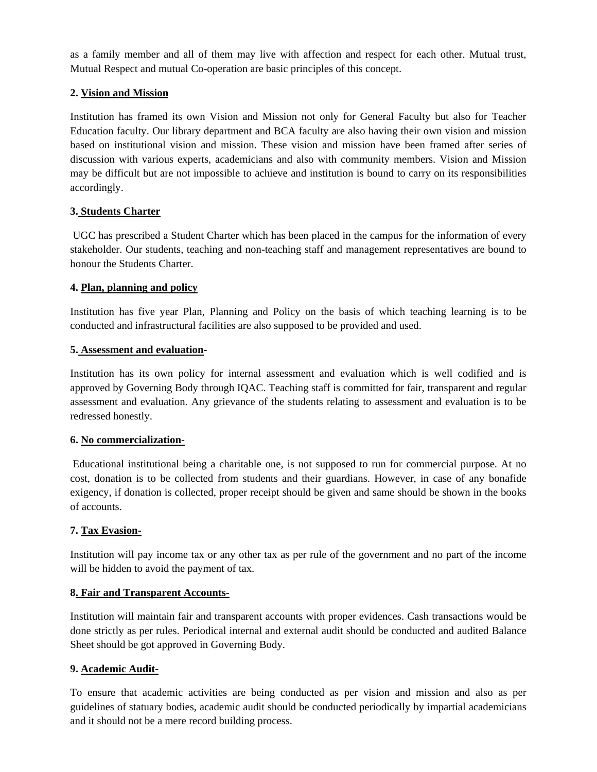as a family member and all of them may live with affection and respect for each other. Mutual trust, Mutual Respect and mutual Co-operation are basic principles of this concept.

## **2. Vision and Mission**

Institution has framed its own Vision and Mission not only for General Faculty but also for Teacher Education faculty. Our library department and BCA faculty are also having their own vision and mission based on institutional vision and mission. These vision and mission have been framed after series of discussion with various experts, academicians and also with community members. Vision and Mission may be difficult but are not impossible to achieve and institution is bound to carry on its responsibilities accordingly.

## **3. Students Charter**

UGC has prescribed a Student Charter which has been placed in the campus for the information of every stakeholder. Our students, teaching and non-teaching staff and management representatives are bound to honour the Students Charter.

## **4. Plan, planning and policy**

Institution has five year Plan, Planning and Policy on the basis of which teaching learning is to be conducted and infrastructural facilities are also supposed to be provided and used.

#### **5. Assessment and evaluation-**

Institution has its own policy for internal assessment and evaluation which is well codified and is approved by Governing Body through IQAC. Teaching staff is committed for fair, transparent and regular assessment and evaluation. Any grievance of the students relating to assessment and evaluation is to be redressed honestly.

#### **6. No commercialization**-

Educational institutional being a charitable one, is not supposed to run for commercial purpose. At no cost, donation is to be collected from students and their guardians. However, in case of any bonafide exigency, if donation is collected, proper receipt should be given and same should be shown in the books of accounts.

#### **7. Tax Evasion-**

Institution will pay income tax or any other tax as per rule of the government and no part of the income will be hidden to avoid the payment of tax.

#### **8. Fair and Transparent Accounts**-

Institution will maintain fair and transparent accounts with proper evidences. Cash transactions would be done strictly as per rules. Periodical internal and external audit should be conducted and audited Balance Sheet should be got approved in Governing Body.

#### **9. Academic Audit-**

To ensure that academic activities are being conducted as per vision and mission and also as per guidelines of statuary bodies, academic audit should be conducted periodically by impartial academicians and it should not be a mere record building process.